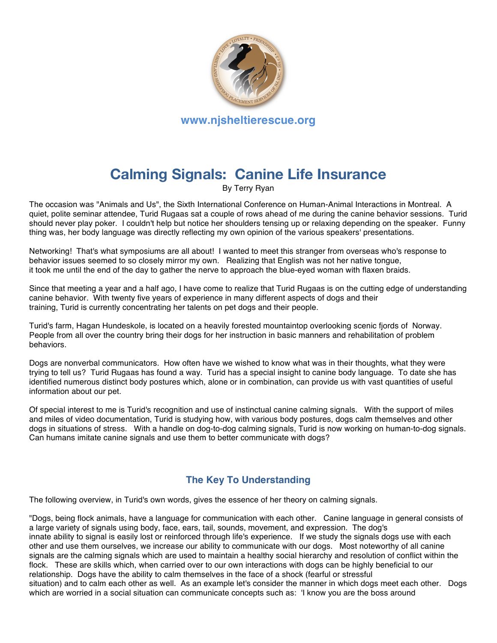

# **Calming Signals: Canine Life Insurance**

By Terry Ryan

The occasion was "Animals and Us", the Sixth International Conference on Human-Animal Interactions in Montreal. A quiet, polite seminar attendee, Turid Rugaas sat a couple of rows ahead of me during the canine behavior sessions. Turid should never play poker. I couldn't help but notice her shoulders tensing up or relaxing depending on the speaker. Funny thing was, her body language was directly reflecting my own opinion of the various speakers' presentations.

Networking! That's what symposiums are all about! I wanted to meet this stranger from overseas who's response to behavior issues seemed to so closely mirror my own. Realizing that English was not her native tongue, it took me until the end of the day to gather the nerve to approach the blue-eyed woman with flaxen braids.

Since that meeting a year and a half ago, I have come to realize that Turid Rugaas is on the cutting edge of understanding canine behavior. With twenty five years of experience in many different aspects of dogs and their training, Turid is currently concentrating her talents on pet dogs and their people.

Turid's farm, Hagan Hundeskole, is located on a heavily forested mountaintop overlooking scenic fjords of Norway. People from all over the country bring their dogs for her instruction in basic manners and rehabilitation of problem behaviors.

Dogs are nonverbal communicators. How often have we wished to know what was in their thoughts, what they were trying to tell us? Turid Rugaas has found a way. Turid has a special insight to canine body language. To date she has identified numerous distinct body postures which, alone or in combination, can provide us with vast quantities of useful information about our pet.

Of special interest to me is Turid's recognition and use of instinctual canine calming signals. With the support of miles and miles of video documentation, Turid is studying how, with various body postures, dogs calm themselves and other dogs in situations of stress. With a handle on dog-to-dog calming signals, Turid is now working on human-to-dog signals. Can humans imitate canine signals and use them to better communicate with dogs?

## **The Key To Understanding**

The following overview, in Turid's own words, gives the essence of her theory on calming signals.

"Dogs, being flock animals, have a language for communication with each other. Canine language in general consists of a large variety of signals using body, face, ears, tail, sounds, movement, and expression. The dog's innate ability to signal is easily lost or reinforced through life's experience. If we study the signals dogs use with each other and use them ourselves, we increase our ability to communicate with our dogs. Most noteworthy of all canine signals are the calming signals which are used to maintain a healthy social hierarchy and resolution of conflict within the flock. These are skills which, when carried over to our own interactions with dogs can be highly beneficial to our relationship. Dogs have the ability to calm themselves in the face of a shock (fearful or stressful situation) and to calm each other as well. As an example let's consider the manner in which dogs meet each other. Dogs which are worried in a social situation can communicate concepts such as: I know you are the boss around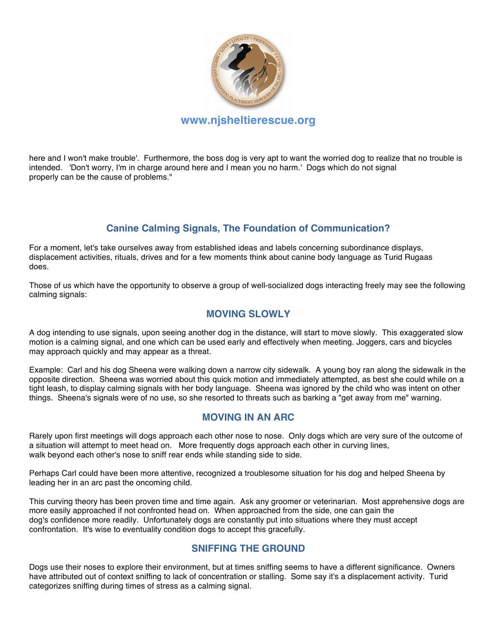

here and I won't make trouble'. Furthermore, the boss dog is very apt to want the worried dog to realize that no trouble is intended. 'Don't worry, I'm in charge around here and I mean you no harm.' Dogs which do not signal properly can be the cause of problems."

## **Canine Calming Signals, The Foundation of Communication?**

For a moment, let's take ourselves away from established ideas and labels concerning subordinance displays, displacement activities, rituals, drives and for a few moments think about canine body language as Turid Rugaas does.

Those of us which have the opportunity to observe a group of well-socialized dogs interacting freely may see the following calming signals:

### **MOVING SLOWLY**

A dog intending to use signals, upon seeing another dog in the distance, will start to move slowly. This exaggerated slow motion is a calming signal, and one which can be used early and effectively when meeting. Joggers, cars and bicycles may approach quickly and may appear as a threat.

Example: Carl and his dog Sheena were walking down a narrow city sidewalk. A young boy ran along the sidewalk in the opposite direction. Sheena was worried about this quick motion and immediately attempted, as best she could while on a tight leash, to display calming signals with her body language. Sheena was ignored by the child who was intent on other things. Sheena's signals were of no use, so she resorted to threats such as barking a "get away from me" warning.

#### **MOVING IN AN ARC**

Rarely upon first meetings will dogs approach each other nose to nose. Only dogs which are very sure of the outcome of a situation will attempt to meet head on. More frequently dogs approach each other in curving lines, walk beyond each other's nose to sniff rear ends while standing side to side.

Perhaps Carl could have been more attentive, recognized a troublesome situation for his dog and helped Sheena by leading her in an arc past the oncoming child.

This curving theory has been proven time and time again. Ask any groomer or veterinarian. Most apprehensive dogs are more easily approached if not confronted head on. When approached from the side, one can gain the dog's confidence more readily. Unfortunately dogs are constantly put into situations where they must accept confrontation. It's wise to eventuality condition dogs to accept this gracefully.

#### **SNIFFING THE GROUND**

Dogs use their noses to explore their environment, but at times sniffing seems to have a different significance. Owners have attributed out of context sniffing to lack of concentration or stalling. Some say it's a displacement activity. Turid categorizes sniffing during times of stress as a calming signal.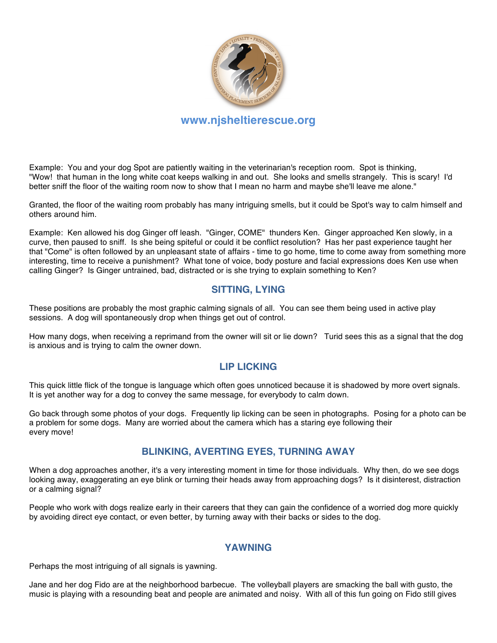

Example: You and your dog Spot are patiently waiting in the veterinarian's reception room. Spot is thinking, "Wow! that human in the long white coat keeps walking in and out. She looks and smells strangely. This is scary! I'd better sniff the floor of the waiting room now to show that I mean no harm and maybe she'll leave me alone."

Granted, the floor of the waiting room probably has many intriguing smells, but it could be Spot's way to calm himself and others around him.

Example: Ken allowed his dog Ginger off leash. "Ginger, COME" thunders Ken. Ginger approached Ken slowly, in a curve, then paused to sniff. Is she being spiteful or could it be conflict resolution? Has her past experience taught her that "Come" is often followed by an unpleasant state of affairs - time to go home, time to come away from something more interesting, time to receive a punishment? What tone of voice, body posture and facial expressions does Ken use when calling Ginger? Is Ginger untrained, bad, distracted or is she trying to explain something to Ken?

### **SITTING, LYING**

These positions are probably the most graphic calming signals of all. You can see them being used in active play sessions. A dog will spontaneously drop when things get out of control.

How many dogs, when receiving a reprimand from the owner will sit or lie down? Turid sees this as a signal that the dog is anxious and is trying to calm the owner down.

#### **LIP LICKING**

This quick little flick of the tongue is language which often goes unnoticed because it is shadowed by more overt signals. It is yet another way for a dog to convey the same message, for everybody to calm down.

Go back through some photos of your dogs. Frequently lip licking can be seen in photographs. Posing for a photo can be a problem for some dogs. Many are worried about the camera which has a staring eye following their every move!

#### **BLINKING, AVERTING EYES, TURNING AWAY**

When a dog approaches another, it's a very interesting moment in time for those individuals. Why then, do we see dogs looking away, exaggerating an eye blink or turning their heads away from approaching dogs? Is it disinterest, distraction or a calming signal?

People who work with dogs realize early in their careers that they can gain the confidence of a worried dog more quickly by avoiding direct eye contact, or even better, by turning away with their backs or sides to the dog.

#### **YAWNING**

Perhaps the most intriguing of all signals is yawning.

Jane and her dog Fido are at the neighborhood barbecue. The volleyball players are smacking the ball with gusto, the music is playing with a resounding beat and people are animated and noisy. With all of this fun going on Fido still gives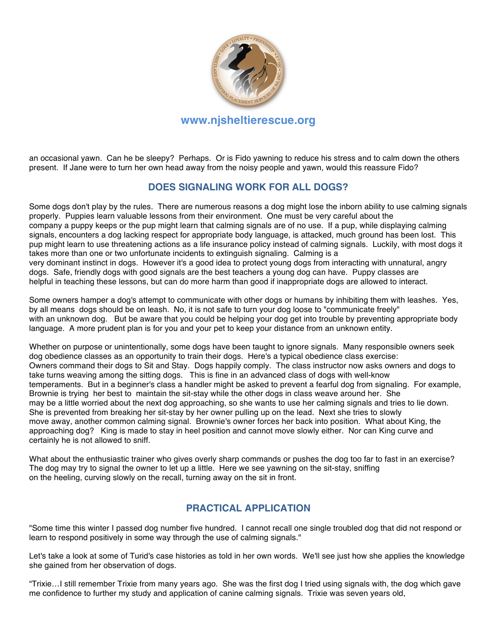

**www.njsheltierescue.org**

an occasional yawn. Can he be sleepy? Perhaps. Or is Fido yawning to reduce his stress and to calm down the others present. If Jane were to turn her own head away from the noisy people and yawn, would this reassure Fido?

## **DOES SIGNALING WORK FOR ALL DOGS?**

Some dogs don't play by the rules. There are numerous reasons a dog might lose the inborn ability to use calming signals properly. Puppies learn valuable lessons from their environment. One must be very careful about the company a puppy keeps or the pup might learn that calming signals are of no use. If a pup, while displaying calming signals, encounters a dog lacking respect for appropriate body language, is attacked, much ground has been lost. This pup might learn to use threatening actions as a life insurance policy instead of calming signals. Luckily, with most dogs it takes more than one or two unfortunate incidents to extinguish signaling. Calming is a very dominant instinct in dogs. However it's a good idea to protect young dogs from interacting with unnatural, angry dogs. Safe, friendly dogs with good signals are the best teachers a young dog can have. Puppy classes are helpful in teaching these lessons, but can do more harm than good if inappropriate dogs are allowed to interact.

Some owners hamper a dog's attempt to communicate with other dogs or humans by inhibiting them with leashes. Yes, by all means dogs should be on leash. No, it is not safe to turn your dog loose to "communicate freely" with an unknown dog. But be aware that you could be helping your dog get into trouble by preventing appropriate body language. A more prudent plan is for you and your pet to keep your distance from an unknown entity.

Whether on purpose or unintentionally, some dogs have been taught to ignore signals. Many responsible owners seek dog obedience classes as an opportunity to train their dogs. Here's a typical obedience class exercise: Owners command their dogs to Sit and Stay. Dogs happily comply. The class instructor now asks owners and dogs to take turns weaving among the sitting dogs. This is fine in an advanced class of dogs with well-know temperaments. But in a beginner's class a handler might be asked to prevent a fearful dog from signaling. For example, Brownie is trying her best to maintain the sit-stay while the other dogs in class weave around her. She may be a little worried about the next dog approaching, so she wants to use her calming signals and tries to lie down. She is prevented from breaking her sit-stay by her owner pulling up on the lead. Next she tries to slowly move away, another common calming signal. Brownie's owner forces her back into position. What about King, the approaching dog? King is made to stay in heel position and cannot move slowly either. Nor can King curve and certainly he is not allowed to sniff.

What about the enthusiastic trainer who gives overly sharp commands or pushes the dog too far to fast in an exercise? The dog may try to signal the owner to let up a little. Here we see yawning on the sit-stay, sniffing on the heeling, curving slowly on the recall, turning away on the sit in front.

## **PRACTICAL APPLICATION**

"Some time this winter I passed dog number five hundred. I cannot recall one single troubled dog that did not respond or learn to respond positively in some way through the use of calming signals."

Let's take a look at some of Turid's case histories as told in her own words. We'll see just how she applies the knowledge she gained from her observation of dogs.

"Trixie…I still remember Trixie from many years ago. She was the first dog I tried using signals with, the dog which gave me confidence to further my study and application of canine calming signals. Trixie was seven years old,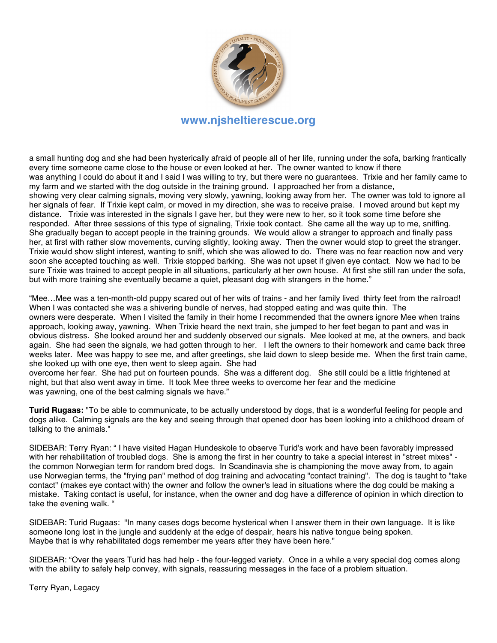

#### **www.njsheltierescue.org**

a small hunting dog and she had been hysterically afraid of people all of her life, running under the sofa, barking frantically every time someone came close to the house or even looked at her. The owner wanted to know if there was anything I could do about it and I said I was willing to try, but there were no guarantees. Trixie and her family came to my farm and we started with the dog outside in the training ground. I approached her from a distance, showing very clear calming signals, moving very slowly, yawning, looking away from her. The owner was told to ignore all her signals of fear. If Trixie kept calm, or moved in my direction, she was to receive praise. I moved around but kept my distance. Trixie was interested in the signals I gave her, but they were new to her, so it took some time before she responded. After three sessions of this type of signaling, Trixie took contact. She came all the way up to me, sniffing. She gradually began to accept people in the training grounds. We would allow a stranger to approach and finally pass her, at first with rather slow movements, curving slightly, looking away. Then the owner would stop to greet the stranger. Trixie would show slight interest, wanting to sniff, which she was allowed to do. There was no fear reaction now and very soon she accepted touching as well. Trixie stopped barking. She was not upset if given eye contact. Now we had to be sure Trixie was trained to accept people in all situations, particularly at her own house. At first she still ran under the sofa, but with more training she eventually became a quiet, pleasant dog with strangers in the home."

"Mee…Mee was a ten-month-old puppy scared out of her wits of trains - and her family lived thirty feet from the railroad! When I was contacted she was a shivering bundle of nerves, had stopped eating and was quite thin. The owners were desperate. When I visited the family in their home I recommended that the owners ignore Mee when trains approach, looking away, yawning. When Trixie heard the next train, she jumped to her feet began to pant and was in obvious distress. She looked around her and suddenly observed our signals. Mee looked at me, at the owners, and back again. She had seen the signals, we had gotten through to her. I left the owners to their homework and came back three weeks later. Mee was happy to see me, and after greetings, she laid down to sleep beside me. When the first train came, she looked up with one eye, then went to sleep again. She had

overcome her fear. She had put on fourteen pounds. She was a different dog. She still could be a little frightened at night, but that also went away in time. It took Mee three weeks to overcome her fear and the medicine was yawning, one of the best calming signals we have."

**Turid Rugaas:** "To be able to communicate, to be actually understood by dogs, that is a wonderful feeling for people and dogs alike. Calming signals are the key and seeing through that opened door has been looking into a childhood dream of talking to the animals."

SIDEBAR: Terry Ryan: " I have visited Hagan Hundeskole to observe Turid's work and have been favorably impressed with her rehabilitation of troubled dogs. She is among the first in her country to take a special interest in "street mixes" the common Norwegian term for random bred dogs. In Scandinavia she is championing the move away from, to again use Norwegian terms, the "frying pan" method of dog training and advocating "contact training". The dog is taught to "take contact" (makes eye contact with) the owner and follow the owner's lead in situations where the dog could be making a mistake. Taking contact is useful, for instance, when the owner and dog have a difference of opinion in which direction to take the evening walk. "

SIDEBAR: Turid Rugaas: "In many cases dogs become hysterical when I answer them in their own language. It is like someone long lost in the jungle and suddenly at the edge of despair, hears his native tongue being spoken. Maybe that is why rehabilitated dogs remember me years after they have been here."

SIDEBAR: "Over the years Turid has had help - the four-legged variety. Once in a while a very special dog comes along with the ability to safely help convey, with signals, reassuring messages in the face of a problem situation.

Terry Ryan, Legacy